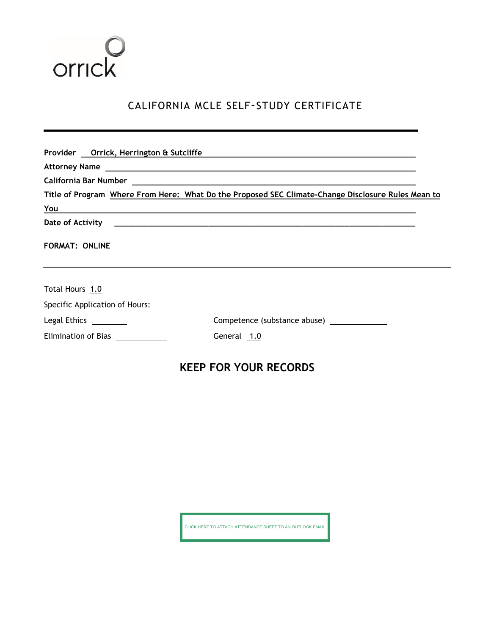

## CALIFORNIA MCLE SELF-STUDY CERTIFICATE

| Provider __ Orrick, Herrington & Sutcliffe<br>Title of Program Where From Here: What Do the Proposed SEC Climate-Change Disclosure Rules Mean to<br><u>You are a set of the set of the set of the set of the set of the set of the set of the set of the set of the set of the set of the set of the set of the set of the set of the set of the set of the set of the set of the se</u> |                              |  |                                |  |
|------------------------------------------------------------------------------------------------------------------------------------------------------------------------------------------------------------------------------------------------------------------------------------------------------------------------------------------------------------------------------------------|------------------------------|--|--------------------------------|--|
|                                                                                                                                                                                                                                                                                                                                                                                          |                              |  |                                |  |
|                                                                                                                                                                                                                                                                                                                                                                                          |                              |  | <b>FORMAT: ONLINE</b>          |  |
|                                                                                                                                                                                                                                                                                                                                                                                          |                              |  | Total Hours 1.0                |  |
|                                                                                                                                                                                                                                                                                                                                                                                          |                              |  | Specific Application of Hours: |  |
| Legal Ethics _________                                                                                                                                                                                                                                                                                                                                                                   | Competence (substance abuse) |  |                                |  |
| Elimination of Bias <u>___________</u>                                                                                                                                                                                                                                                                                                                                                   | General 1.0                  |  |                                |  |

## **KEEP FOR YOUR RECORDS**

CLICK HERE TO ATTACH ATTENDANCE SHEET TO AN OUTLOOK EMAIL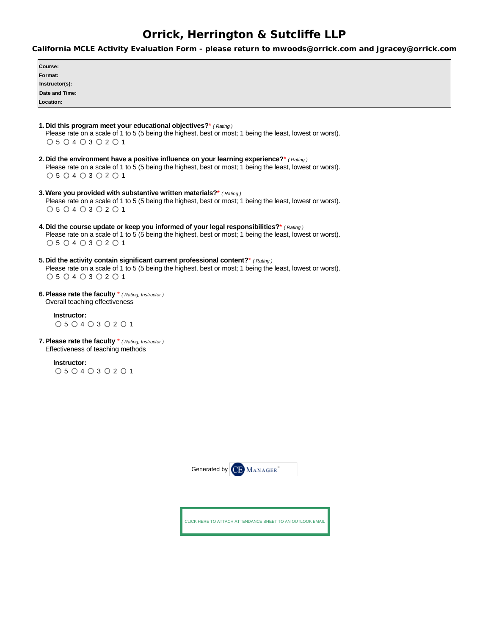## Orrick, Herrington & Sutcliffe LLP

California MCLE Activity Evaluation Form - please return to mwoods@orrick.com and jgracey@orrick.com

| Course:        |  |
|----------------|--|
| Format:        |  |
| Instructor(s): |  |
| Date and Time: |  |
| Location:      |  |

- 1. Did this program meet your educational objectives?\* (Rating) Please rate on a scale of 1 to 5 (5 being the highest, best or most; 1 being the least, lowest or worst).  $0504030201$
- 2. Did the environment have a positive influence on your learning experience?\* (Rating) Please rate on a scale of 1 to 5 (5 being the highest, best or most; 1 being the least, lowest or worst).  $0504030201$
- 3. Were you provided with substantive written materials?\* (Rating) Please rate on a scale of 1 to 5 (5 being the highest, best or most; 1 being the least, lowest or worst).  $0504030201$
- 4. Did the course update or keep you informed of your legal responsibilities?\* (Rating) Please rate on a scale of 1 to 5 (5 being the highest, best or most; 1 being the least, lowest or worst).  $0504030201$
- 5. Did the activity contain significant current professional content?\* (Rating) Please rate on a scale of 1 to 5 (5 being the highest, best or most; 1 being the least, lowest or worst).  $0504030201$
- **6. Please rate the faculty**  $*$  (Rating, Instructor) Overall teaching effectiveness

Instructor:  $0504030201$ 

7. Please rate the faculty \* (Rating, Instructor) Effectiveness of teaching methods

> Instructor:  $0504030201$



CLICK HERE TO ATTACH ATTENDANCE SHEET TO AN OUTLOOK EMAIL